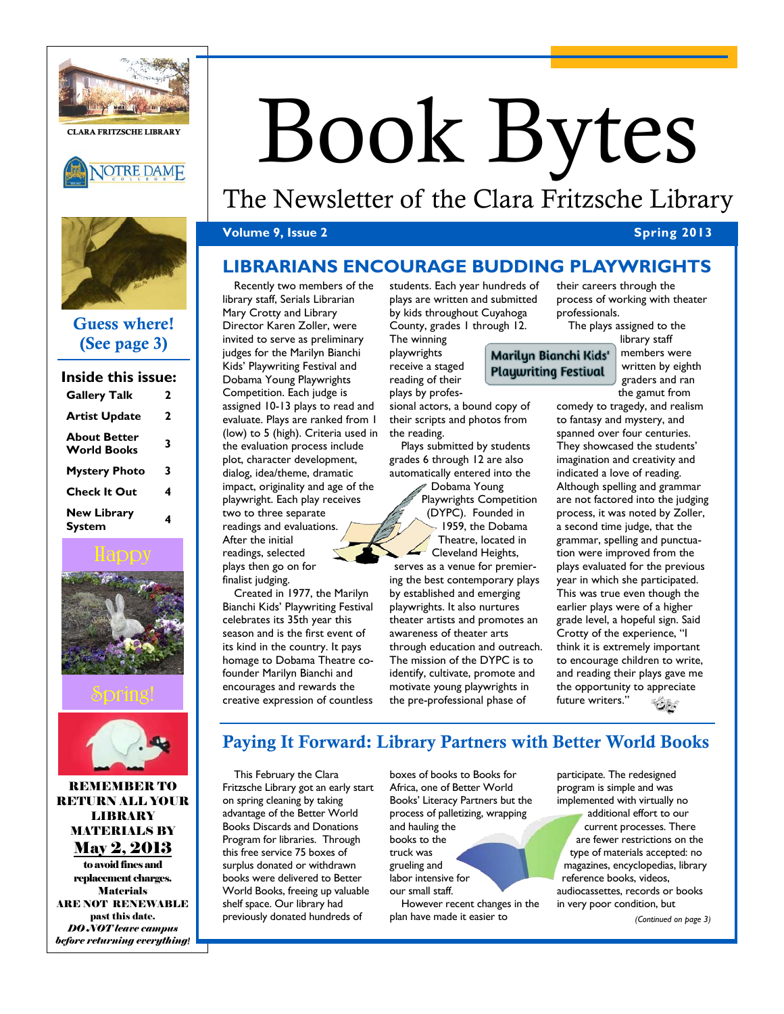

CLARA FRITZSCHE LIBRARY



# Book Bytes

# The Newsletter of the Clara Fritzsche Library

## **Volume 9, Issue 2** Spring 2013

# **LIBRARIANS ENCOURAGE BUDDING PLAYWRIGHTS**

# Guess where! (See page 3)

| Inside this issue:                        |   |
|-------------------------------------------|---|
| <b>Gallery Talk</b>                       | 2 |
| <b>Artist Update</b>                      | 2 |
| <b>About Better</b><br><b>World Books</b> | 3 |
| <b>Mystery Photo</b>                      | 3 |
| Check It Out                              | 4 |
| <b>New Library</b><br>System              | 4 |





REMEMBER TO RETURN ALL YOUR **LIBRARY** MATERIALS BY May 2, 2013

to avoid fines and replacement charges. Materials ARE NOT RENEWABLE past this date. *DO NOT leave campus before returning everything!*

Recently two members of the library staff, Serials Librarian Mary Crotty and Library Director Karen Zoller, were invited to serve as preliminary judges for the Marilyn Bianchi Kids' Playwriting Festival and Dobama Young Playwrights Competition. Each judge is assigned 10-13 plays to read and evaluate. Plays are ranked from 1 (low) to 5 (high). Criteria used in the evaluation process include plot, character development, dialog, idea/theme, dramatic impact, originality and age of the playwright. Each play receives two to three separate readings and evaluations. After the initial readings, selected

plays then go on for finalist judging.

Created in 1977, the Marilyn Bianchi Kids' Playwriting Festival celebrates its 35th year this season and is the first event of its kind in the country. It pays homage to Dobama Theatre cofounder Marilyn Bianchi and encourages and rewards the creative expression of countless

students. Each year hundreds of plays are written and submitted by kids throughout Cuyahoga County, grades 1 through 12.

The winning playwrights receive a staged reading of their plays by profes-

sional actors, a bound copy of their scripts and photos from the reading.

Plays submitted by students grades 6 through 12 are also automatically entered into the

> Dobama Young Playwrights Competition (DYPC). Founded in 1959, the Dobama Theatre, located in Cleveland Heights,

serves as a venue for premiering the best contemporary plays by established and emerging playwrights. It also nurtures theater artists and promotes an awareness of theater arts through education and outreach. The mission of the DYPC is to identify, cultivate, promote and motivate young playwrights in the pre-professional phase of

their careers through the process of working with theater professionals.

Marilyn Bianchi Kids' **Playwriting Festival** 

The plays assigned to the library staff members were written by eighth graders and ran the gamut from

comedy to tragedy, and realism to fantasy and mystery, and spanned over four centuries. They showcased the students' imagination and creativity and indicated a love of reading. Although spelling and grammar are not factored into the judging process, it was noted by Zoller, a second time judge, that the grammar, spelling and punctuation were improved from the plays evaluated for the previous year in which she participated. This was true even though the earlier plays were of a higher grade level, a hopeful sign. Said Crotty of the experience, "I think it is extremely important to encourage children to write, and reading their plays gave me the opportunity to appreciate future writers."

# Paying It Forward: Library Partners with Better World Books

This February the Clara Fritzsche Library got an early start on spring cleaning by taking advantage of the Better World Books Discards and Donations Program for libraries. Through this free service 75 boxes of surplus donated or withdrawn books were delivered to Better World Books, freeing up valuable shelf space. Our library had previously donated hundreds of

boxes of books to Books for Africa, one of Better World Books' Literacy Partners but the process of palletizing, wrapping and hauling the books to the truck was grueling and labor intensive for our small staff.

However recent changes in the plan have made it easier to

participate. The redesigned program is simple and was implemented with virtually no additional effort to our current processes. There are fewer restrictions on the type of materials accepted: no magazines, encyclopedias, library reference books, videos, audiocassettes, records or books in very poor condition, but

*(Continued on page 3)*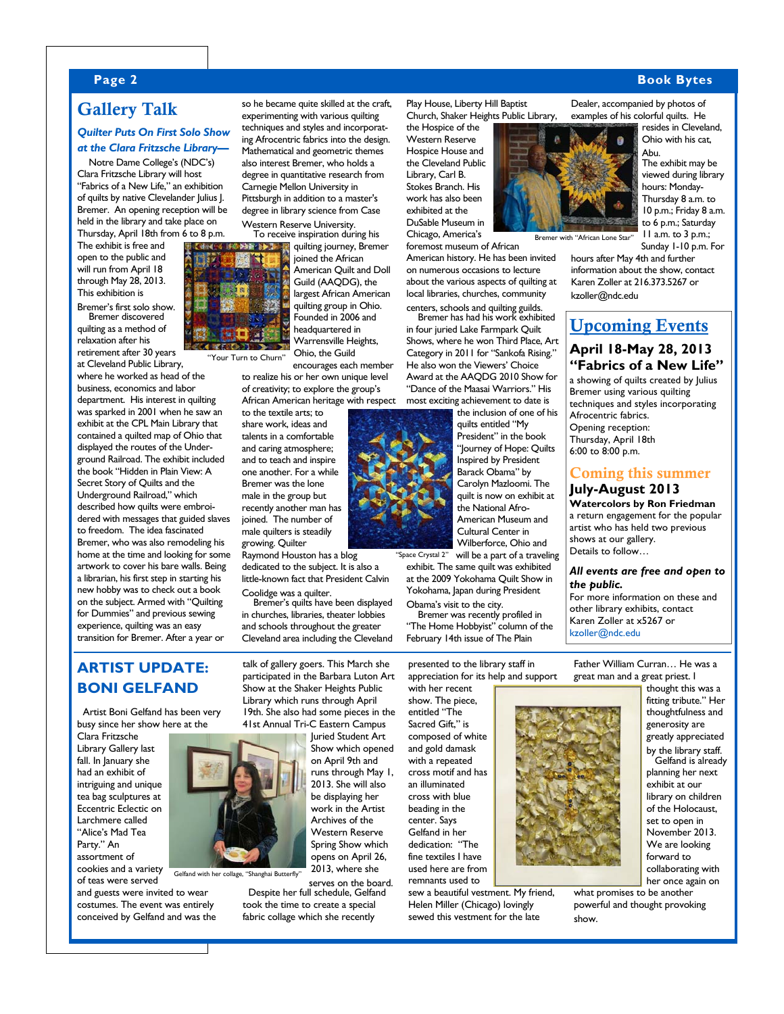## **Page 2 Book Bytes**

# Gallery Talk

#### *Quilter Puts On First Solo Show at the Clara Fritzsche Library—*

Notre Dame College's (NDC's) Clara Fritzsche Library will host "Fabrics of a New Life," an exhibition of quilts by native Clevelander Julius J. Bremer. An opening reception will be held in the library and take place on Thursday, April 18th from 6 to 8 p.m.

The exhibit is free and open to the public and will run from April 18 through May 28, 2013. This exhibition is

Bremer's first solo show. Bremer discovered quilting as a method of

relaxation after his retirement after 30 years at Cleveland Public Library,

where he worked as head of the business, economics and labor department. His interest in quilting was sparked in 2001 when he saw an exhibit at the CPL Main Library that contained a quilted map of Ohio that displayed the routes of the Underground Railroad. The exhibit included the book "Hidden in Plain View: A Secret Story of Quilts and the Underground Railroad," which described how quilts were embroidered with messages that guided slaves to freedom. The idea fascinated Bremer, who was also remodeling his home at the time and looking for some artwork to cover his bare walls. Being a librarian, his first step in starting his new hobby was to check out a book on the subject. Armed with "Quilting for Dummies" and previous sewing experience, quilting was an easy transition for Bremer. After a year or



"Your Turn to Churn"

encourages each member to realize his or her own unique level of creativity; to explore the group's

so he became quite skilled at the craft, experimenting with various quilting techniques and styles and incorporating Afrocentric fabrics into the design. Mathematical and geometric themes also interest Bremer, who holds a degree in quantitative research from Carnegie Mellon University in Pittsburgh in addition to a master's degree in library science from Case Western Reserve University.

> quilting journey, Bremer joined the African American Quilt and Doll Guild (AAQDG), the largest African American quilting group in Ohio. Founded in 2006 and headquartered in Warrensville Heights, Ohio, the Guild

African American heritage with respect to the textile arts; to share work, ideas and talents in a comfortable and caring atmosphere; and to teach and inspire one another. For a while Bremer was the lone male in the group but recently another man has joined. The number of male quilters is steadily growing. Quilter

dedicated to the subject. It is also a little-known fact that President Calvin

in churches, libraries, theater lobbies and schools throughout the greater Cleveland area including the Cleveland

talk of gallery goers. This March she participated in the Barbara Luton Art Show at the Shaker Heights Public Library which runs through April

# **ARTIST UPDATE: BONI GELFAND**

Artist Boni Gelfand has been very busy since her show here at the

Clara Fritzsche Library Gallery last fall. In January she had an exhibit of intriguing and unique tea bag sculptures at Eccentric Eclectic on Larchmere called "Alice's Mad Tea Party." An assortment of cookies and a variety

of teas were served and guests were invited to wear

costumes. The event was entirely conceived by Gelfand and was the

19th. She also had some pieces in the 41st Annual Tri-C Eastern Campus

Gelfand with her collage, "Shanghai Butterfly"

serves on the board. Despite her full schedule, Gelfand took the time to create a special fabric collage which she recently

Play House, Liberty Hill Baptist Church, Shaker Heights Public Library,

the Hospice of the Western Reserve Hospice House and the Cleveland Public Library, Carl B. Stokes Branch. His work has also been exhibited at the DuSable Museum in Chicago, America's

foremost museum of African American history. He has been invited on numerous occasions to lecture about the various aspects of quilting at local libraries, churches, community centers, schools and quilting guilds.

Bremer has had his work exhibited in four juried Lake Farmpark Quilt Shows, where he won Third Place, Art Category in 2011 for "Sankofa Rising." He also won the Viewers' Choice Award at the AAQDG 2010 Show for "Dance of the Maasai Warriors." His most exciting achievement to date is



exhibit. The same quilt was exhibited at the 2009 Yokohama Quilt Show in Yokohama, Japan during President Obama's visit to the city.

Bremer was recently profiled in "The Home Hobbyist" column of the February 14th issue of The Plain

presented to the library staff in appreciation for its help and support

with her recent show. The piece, entitled "The Sacred Gift." is composed of white and gold damask with a repeated cross motif and has an illuminated cross with blue beading in the center. Says Gelfand in her dedication: "The fine textiles I have used here are from remnants used to

sew a beautiful vestment. My friend, Helen Miller (Chicago) lovingly sewed this vestment for the late

Dealer, accompanied by photos of examples of his colorful quilts. He

resides in Cleveland, Ohio with his cat, Abu.

The exhibit may be viewed during library hours: Monday-Thursday 8 a.m. to 10 p.m.; Friday 8 a.m. to 6 p.m.; Saturday 11 a.m. to 3 p.m.; Sunday 1-10 p.m. For

hours after May 4th and further information about the show, contact Karen Zoller at 216.373.5267 or kzoller@ndc.edu

Bremer with "African Lone Star"

# Upcoming Events

## **April 18-May 28, 2013 "Fabrics of a New Life"**

a showing of quilts created by Julius Bremer using various quilting techniques and styles incorporating Afrocentric fabrics. Opening reception:

Thursday, April 18th 6:00 to 8:00 p.m.

## Coming this summer **July-August 2013**

**Watercolors by Ron Friedman**  a return engagement for the popular artist who has held two previous shows at our gallery. Details to follow…

#### *All events are free and open to the public.*

For more information on these and other library exhibits, contact Karen Zoller at x5267 or kzoller@ndc.edu

Father William Curran… He was a great man and a great priest. I

thought this was a fitting tribute." Her thoughtfulness and generosity are greatly appreciated by the library staff. Gelfand is already planning her next exhibit at our library on children of the Holocaust, set to open in November 2013. We are looking forward to collaborating with her once again on

what promises to be another powerful and thought provoking show.

Juried Student Art Show which opened on April 9th and runs through May 1, 2013. She will also be displaying her work in the Artist Archives of the Western Reserve Spring Show which opens on April 26,

2013, where she

Raymond Houston has a blog

Coolidge was a quilter. Bremer's quilts have been displayed

"Space Crystal 2"

Cultural Center in Wilberforce, Ohio and will be a part of a traveling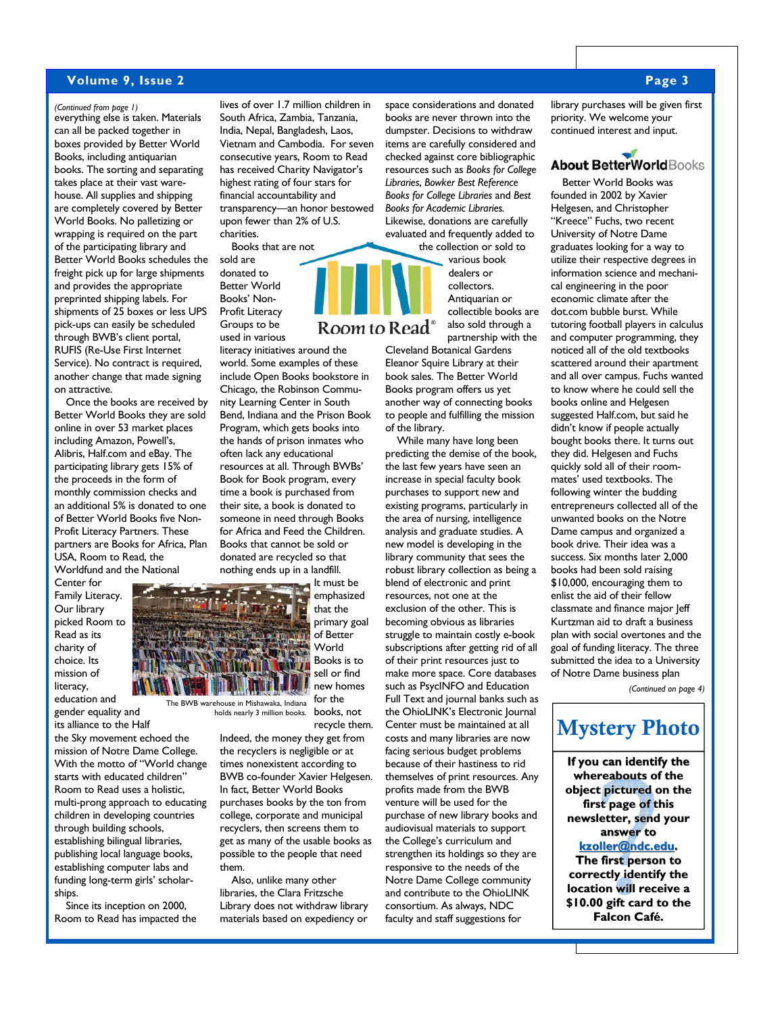#### **Volume 9, Issue 2 Page 3**

## *(Continued from page 1)* lives of over 1.7 million children in

everything else is taken. Materials can all be packed together in boxes provided by Better World Books, including antiquarian books. The sorting and separating takes place at their vast warehouse. All supplies and shipping are completely covered by Better World Books. No palletizing or wrapping is required on the part of the participating library and Better World Books schedules the freight pick up for large shipments and provides the appropriate preprinted shipping labels. For shipments of 25 boxes or less UPS pick-ups can easily be scheduled through BWB's client portal, RUFIS (Re-Use First Internet Service). No contract is required, another change that made signing on attractive.

Once the books are received by Better World Books they are sold online in over 53 market places including Amazon, Powell's, Alibris, Half.com and eBay. The participating library gets 15% of the proceeds in the form of monthly commission checks and an additional 5% is donated to one of Better World Books five Non-Profit Literacy Partners. These partners are Books for Africa, Plan USA, Room to Read, the Worldfund and the National

Center for Family Literacy. Our library picked Room to Read as its charity of choice. Its mission of literacy,

education and gender equality and

its alliance to the Half the Sky movement echoed the mission of Notre Dame College. With the motto of "World change starts with educated children" Room to Read uses a holistic, multi-prong approach to educating children in developing countries through building schools, establishing bilingual libraries, publishing local language books, establishing computer labs and funding long-term girls' scholarships.

Since its inception on 2000, Room to Read has impacted the



charities.

sold are donated to

Books that are not

Program, which gets books into the hands of prison inmates who often lack any educational resources at all. Through BWBs' Book for Book program, every time a book is purchased from their site, a book is donated to someone in need through Books for Africa and Feed the Children. Books that cannot be sold or donated are recycled so that nothing ends up in a landfill.

South Africa, Zambia, Tanzania, India, Nepal, Bangladesh, Laos, Vietnam and Cambodia. For seven consecutive years, Room to Read has received Charity Navigator's highest rating of four stars for financial accountability and transparency—an honor bestowed upon fewer than 2% of U.S.

> It must be emphasized that the primary goal of Better World Books is to sell or find new homes for the

The BWB warehouse in Mishawaka, Indiana holds nearly 3 million books.

recycle them. Indeed, the money they get from the recyclers is negligible or at times nonexistent according to BWB co-founder Xavier Helgesen. In fact, Better World Books purchases books by the ton from college, corporate and municipal recyclers, then screens them to get as many of the usable books as possible to the people that need them.

books, not

Also, unlike many other libraries, the Clara Fritzsche Library does not withdraw library materials based on expediency or

space considerations and donated books are never thrown into the dumpster. Decisions to withdraw items are carefully considered and checked against core bibliographic resources such as *Books for College Libraries*, *Bowker Best Reference Books for College Libraries* and *Best Books for Academic Libraries.* Likewise, donations are carefully evaluated and frequently added to the collection or sold to

various book dealers or collectors. Antiquarian or collectible books are also sold through a partnership with the

Cleveland Botanical Gardens Eleanor Squire Library at their book sales. The Better World Books program offers us yet another way of connecting books to people and fulfilling the mission of the library.

While many have long been predicting the demise of the book, the last few years have seen an increase in special faculty book purchases to support new and existing programs, particularly in the area of nursing, intelligence analysis and graduate studies. A new model is developing in the library community that sees the robust library collection as being a blend of electronic and print resources, not one at the exclusion of the other. This is becoming obvious as libraries struggle to maintain costly e-book subscriptions after getting rid of all of their print resources just to make more space. Core databases such as PsycINFO and Education Full Text and journal banks such as the OhioLINK's Electronic Journal Center must be maintained at all costs and many libraries are now facing serious budget problems because of their hastiness to rid themselves of print resources. Any profits made from the BWB venture will be used for the purchase of new library books and audiovisual materials to support the College's curriculum and strengthen its holdings so they are responsive to the needs of the Notre Dame College community and contribute to the OhioLINK consortium. As always, NDC faculty and staff suggestions for

library purchases will be given first priority. We welcome your continued interest and input.

# **About BetterWorldBooks**

Better World Books was founded in 2002 by Xavier Helgesen, and Christopher "Kreece" Fuchs, two recent University of Notre Dame graduates looking for a way to utilize their respective degrees in information science and mechanical engineering in the poor economic climate after the dot.com bubble burst. While tutoring football players in calculus and computer programming, they noticed all of the old textbooks scattered around their apartment and all over campus. Fuchs wanted to know where he could sell the books online and Helgesen suggested Half.com, but said he didn't know if people actually bought books there. It turns out they did. Helgesen and Fuchs quickly sold all of their roommates' used textbooks. The following winter the budding entrepreneurs collected all of the unwanted books on the Notre Dame campus and organized a book drive. Their idea was a success. Six months later 2,000 books had been sold raising \$10,000, encouraging them to enlist the aid of their fellow classmate and finance major Jeff Kurtzman aid to draft a business plan with social overtones and the goal of funding literacy. The three submitted the idea to a University of Notre Dame business plan

*(Continued on page 4)* 

# Mystery Photo